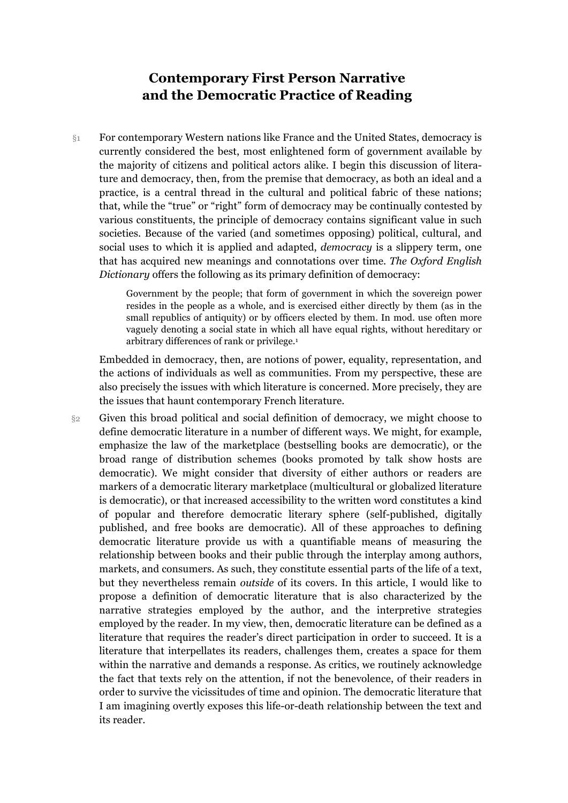## **Contemporary First Person Narrative and the Democratic Practice of Reading**

§1 For contemporary Western nations like France and the United States, democracy is currently considered the best, most enlightened form of government available by the majority of citizens and political actors alike. I begin this discussion of literature and democracy, then, from the premise that democracy, as both an ideal and a practice, is a central thread in the cultural and political fabric of these nations; that, while the "true" or "right" form of democracy may be continually contested by various constituents, the principle of democracy contains significant value in such societies. Because of the varied (and sometimes opposing) political, cultural, and social uses to which it is applied and adapted, *democracy* is a slippery term, one that has acquired new meanings and connotations over time. *The Oxford English Dictionary* offers the following as its primary definition of democracy:

> Government by the people; that form of government in which the sovereign power resides in the people as a whole, and is exercised either directly by them (as in the small republics of antiquity) or by officers elected by them. In mod. use often more vaguely denoting a social state in which all have equal rights, without hereditary or arbitrary differences of rank or privilege.1

Embedded in democracy, then, are notions of power, equality, representation, and the actions of individuals as well as communities. From my perspective, these are also precisely the issues with which literature is concerned. More precisely, they are the issues that haunt contemporary French literature.

§2 Given this broad political and social definition of democracy, we might choose to define democratic literature in a number of different ways. We might, for example, emphasize the law of the marketplace (bestselling books are democratic), or the broad range of distribution schemes (books promoted by talk show hosts are democratic). We might consider that diversity of either authors or readers are markers of a democratic literary marketplace (multicultural or globalized literature is democratic), or that increased accessibility to the written word constitutes a kind of popular and therefore democratic literary sphere (self-published, digitally published, and free books are democratic). All of these approaches to defining democratic literature provide us with a quantifiable means of measuring the relationship between books and their public through the interplay among authors, markets, and consumers. As such, they constitute essential parts of the life of a text, but they nevertheless remain *outside* of its covers. In this article, I would like to propose a definition of democratic literature that is also characterized by the narrative strategies employed by the author, and the interpretive strategies employed by the reader. In my view, then, democratic literature can be defined as a literature that requires the reader's direct participation in order to succeed. It is a literature that interpellates its readers, challenges them, creates a space for them within the narrative and demands a response. As critics, we routinely acknowledge the fact that texts rely on the attention, if not the benevolence, of their readers in order to survive the vicissitudes of time and opinion. The democratic literature that I am imagining overtly exposes this life-or-death relationship between the text and its reader.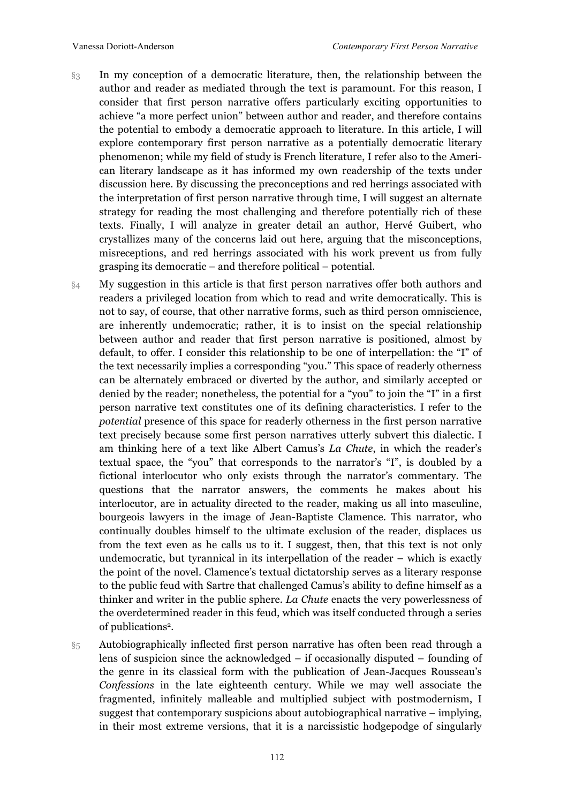- §3 In my conception of a democratic literature, then, the relationship between the author and reader as mediated through the text is paramount. For this reason, I consider that first person narrative offers particularly exciting opportunities to achieve "a more perfect union" between author and reader, and therefore contains the potential to embody a democratic approach to literature. In this article, I will explore contemporary first person narrative as a potentially democratic literary phenomenon; while my field of study is French literature, I refer also to the American literary landscape as it has informed my own readership of the texts under discussion here. By discussing the preconceptions and red herrings associated with the interpretation of first person narrative through time, I will suggest an alternate strategy for reading the most challenging and therefore potentially rich of these texts. Finally, I will analyze in greater detail an author, Hervé Guibert, who crystallizes many of the concerns laid out here, arguing that the misconceptions, misreceptions, and red herrings associated with his work prevent us from fully grasping its democratic – and therefore political – potential.
- §4 My suggestion in this article is that first person narratives offer both authors and readers a privileged location from which to read and write democratically. This is not to say, of course, that other narrative forms, such as third person omniscience, are inherently undemocratic; rather, it is to insist on the special relationship between author and reader that first person narrative is positioned, almost by default, to offer. I consider this relationship to be one of interpellation: the "I" of the text necessarily implies a corresponding "you." This space of readerly otherness can be alternately embraced or diverted by the author, and similarly accepted or denied by the reader; nonetheless, the potential for a "you" to join the "I" in a first person narrative text constitutes one of its defining characteristics. I refer to the *potential* presence of this space for readerly otherness in the first person narrative text precisely because some first person narratives utterly subvert this dialectic. I am thinking here of a text like Albert Camus's *La Chute*, in which the reader's textual space, the "you" that corresponds to the narrator's "I", is doubled by a fictional interlocutor who only exists through the narrator's commentary. The questions that the narrator answers, the comments he makes about his interlocutor, are in actuality directed to the reader, making us all into masculine, bourgeois lawyers in the image of Jean-Baptiste Clamence. This narrator, who continually doubles himself to the ultimate exclusion of the reader, displaces us from the text even as he calls us to it. I suggest, then, that this text is not only undemocratic, but tyrannical in its interpellation of the reader – which is exactly the point of the novel. Clamence's textual dictatorship serves as a literary response to the public feud with Sartre that challenged Camus's ability to define himself as a thinker and writer in the public sphere. *La Chute* enacts the very powerlessness of the overdetermined reader in this feud, which was itself conducted through a series of publications2.
- §5 Autobiographically inflected first person narrative has often been read through a lens of suspicion since the acknowledged – if occasionally disputed – founding of the genre in its classical form with the publication of Jean-Jacques Rousseau's *Confessions* in the late eighteenth century. While we may well associate the fragmented, infinitely malleable and multiplied subject with postmodernism, I suggest that contemporary suspicions about autobiographical narrative – implying, in their most extreme versions, that it is a narcissistic hodgepodge of singularly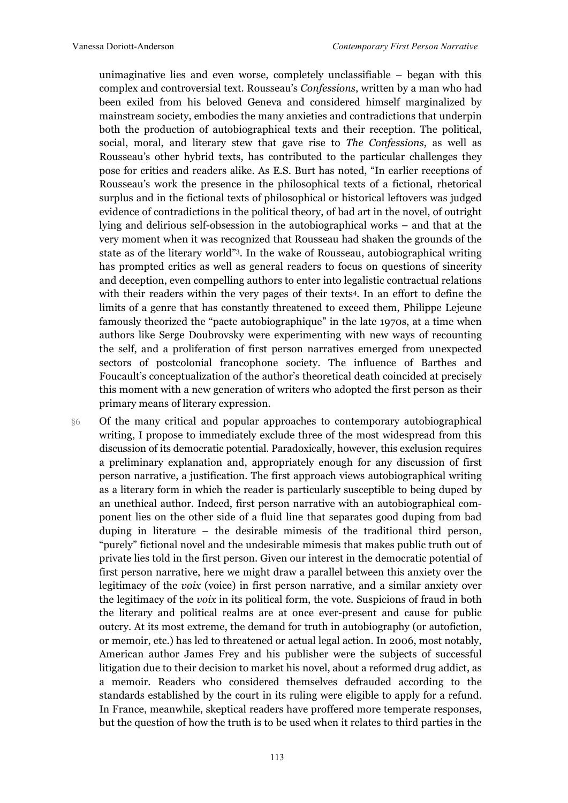unimaginative lies and even worse, completely unclassifiable – began with this complex and controversial text. Rousseau's *Confessions*, written by a man who had been exiled from his beloved Geneva and considered himself marginalized by mainstream society, embodies the many anxieties and contradictions that underpin both the production of autobiographical texts and their reception. The political, social, moral, and literary stew that gave rise to *The Confessions*, as well as Rousseau's other hybrid texts, has contributed to the particular challenges they pose for critics and readers alike. As E.S. Burt has noted, "In earlier receptions of Rousseau's work the presence in the philosophical texts of a fictional, rhetorical surplus and in the fictional texts of philosophical or historical leftovers was judged evidence of contradictions in the political theory, of bad art in the novel, of outright lying and delirious self-obsession in the autobiographical works – and that at the very moment when it was recognized that Rousseau had shaken the grounds of the state as of the literary world"3. In the wake of Rousseau, autobiographical writing has prompted critics as well as general readers to focus on questions of sincerity and deception, even compelling authors to enter into legalistic contractual relations with their readers within the very pages of their texts<sup>4</sup>. In an effort to define the limits of a genre that has constantly threatened to exceed them, Philippe Lejeune famously theorized the "pacte autobiographique" in the late 1970s, at a time when authors like Serge Doubrovsky were experimenting with new ways of recounting the self, and a proliferation of first person narratives emerged from unexpected sectors of postcolonial francophone society. The influence of Barthes and Foucault's conceptualization of the author's theoretical death coincided at precisely this moment with a new generation of writers who adopted the first person as their primary means of literary expression.

§6 Of the many critical and popular approaches to contemporary autobiographical writing, I propose to immediately exclude three of the most widespread from this discussion of its democratic potential. Paradoxically, however, this exclusion requires a preliminary explanation and, appropriately enough for any discussion of first person narrative, a justification. The first approach views autobiographical writing as a literary form in which the reader is particularly susceptible to being duped by an unethical author. Indeed, first person narrative with an autobiographical component lies on the other side of a fluid line that separates good duping from bad duping in literature – the desirable mimesis of the traditional third person, "purely" fictional novel and the undesirable mimesis that makes public truth out of private lies told in the first person. Given our interest in the democratic potential of first person narrative, here we might draw a parallel between this anxiety over the legitimacy of the *voix* (voice) in first person narrative, and a similar anxiety over the legitimacy of the *voix* in its political form, the vote. Suspicions of fraud in both the literary and political realms are at once ever-present and cause for public outcry. At its most extreme, the demand for truth in autobiography (or autofiction, or memoir, etc.) has led to threatened or actual legal action. In 2006, most notably, American author James Frey and his publisher were the subjects of successful litigation due to their decision to market his novel, about a reformed drug addict, as a memoir. Readers who considered themselves defrauded according to the standards established by the court in its ruling were eligible to apply for a refund. In France, meanwhile, skeptical readers have proffered more temperate responses, but the question of how the truth is to be used when it relates to third parties in the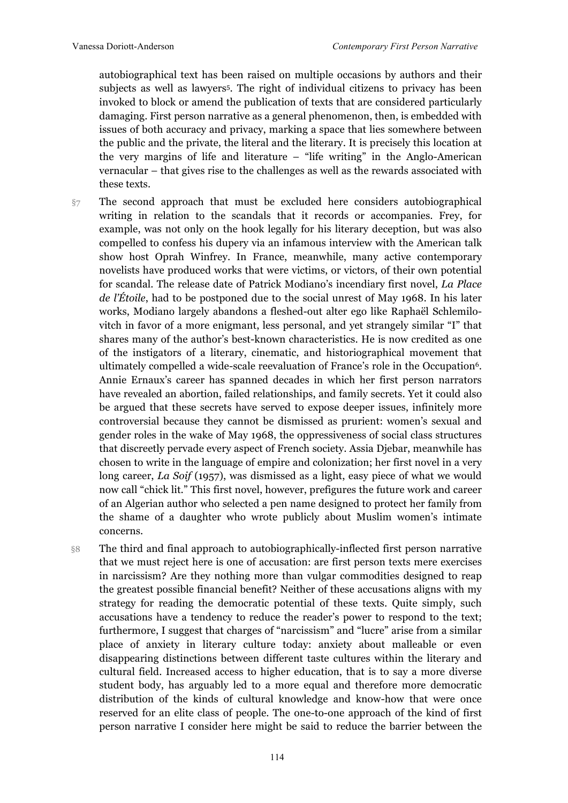autobiographical text has been raised on multiple occasions by authors and their subjects as well as lawyers5. The right of individual citizens to privacy has been invoked to block or amend the publication of texts that are considered particularly damaging. First person narrative as a general phenomenon, then, is embedded with issues of both accuracy and privacy, marking a space that lies somewhere between the public and the private, the literal and the literary. It is precisely this location at the very margins of life and literature – "life writing" in the Anglo-American vernacular – that gives rise to the challenges as well as the rewards associated with these texts.

- $\S7$  The second approach that must be excluded here considers autobiographical writing in relation to the scandals that it records or accompanies. Frey, for example, was not only on the hook legally for his literary deception, but was also compelled to confess his dupery via an infamous interview with the American talk show host Oprah Winfrey. In France, meanwhile, many active contemporary novelists have produced works that were victims, or victors, of their own potential for scandal. The release date of Patrick Modiano's incendiary first novel, *La Place de l'Étoile*, had to be postponed due to the social unrest of May 1968. In his later works, Modiano largely abandons a fleshed-out alter ego like Raphaël Schlemilovitch in favor of a more enigmant, less personal, and yet strangely similar "I" that shares many of the author's best-known characteristics. He is now credited as one of the instigators of a literary, cinematic, and historiographical movement that ultimately compelled a wide-scale reevaluation of France's role in the Occupation6. Annie Ernaux's career has spanned decades in which her first person narrators have revealed an abortion, failed relationships, and family secrets. Yet it could also be argued that these secrets have served to expose deeper issues, infinitely more controversial because they cannot be dismissed as prurient: women's sexual and gender roles in the wake of May 1968, the oppressiveness of social class structures that discreetly pervade every aspect of French society. Assia Djebar, meanwhile has chosen to write in the language of empire and colonization; her first novel in a very long career, *La Soif* (1957), was dismissed as a light, easy piece of what we would now call "chick lit." This first novel, however, prefigures the future work and career of an Algerian author who selected a pen name designed to protect her family from the shame of a daughter who wrote publicly about Muslim women's intimate concerns.
- §8 The third and final approach to autobiographically-inflected first person narrative that we must reject here is one of accusation: are first person texts mere exercises in narcissism? Are they nothing more than vulgar commodities designed to reap the greatest possible financial benefit? Neither of these accusations aligns with my strategy for reading the democratic potential of these texts. Quite simply, such accusations have a tendency to reduce the reader's power to respond to the text; furthermore, I suggest that charges of "narcissism" and "lucre" arise from a similar place of anxiety in literary culture today: anxiety about malleable or even disappearing distinctions between different taste cultures within the literary and cultural field. Increased access to higher education, that is to say a more diverse student body, has arguably led to a more equal and therefore more democratic distribution of the kinds of cultural knowledge and know-how that were once reserved for an elite class of people. The one-to-one approach of the kind of first person narrative I consider here might be said to reduce the barrier between the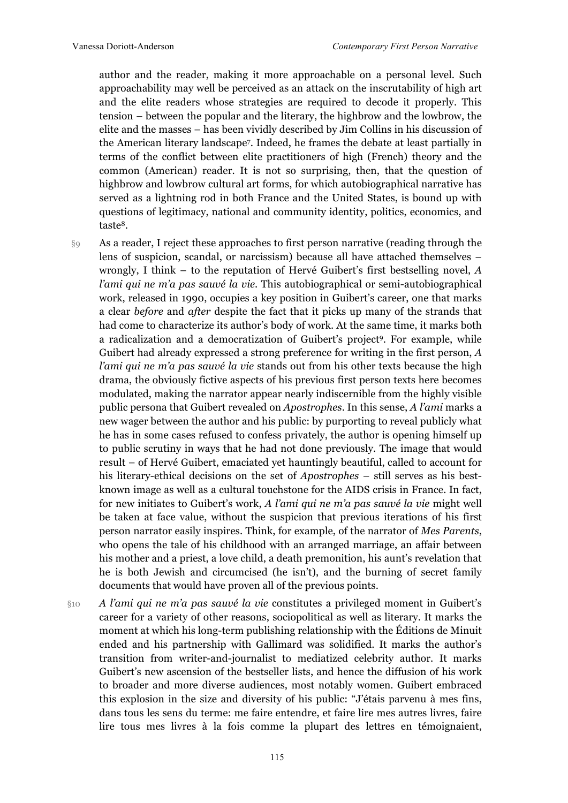author and the reader, making it more approachable on a personal level. Such approachability may well be perceived as an attack on the inscrutability of high art and the elite readers whose strategies are required to decode it properly. This tension – between the popular and the literary, the highbrow and the lowbrow, the elite and the masses – has been vividly described by Jim Collins in his discussion of the American literary landscape7. Indeed, he frames the debate at least partially in terms of the conflict between elite practitioners of high (French) theory and the common (American) reader. It is not so surprising, then, that the question of highbrow and lowbrow cultural art forms, for which autobiographical narrative has served as a lightning rod in both France and the United States, is bound up with questions of legitimacy, national and community identity, politics, economics, and taste8.

§9 As a reader, I reject these approaches to first person narrative (reading through the lens of suspicion, scandal, or narcissism) because all have attached themselves – wrongly, I think – to the reputation of Hervé Guibert's first bestselling novel, *A l'ami qui ne m'a pas sauvé la vie*. This autobiographical or semi-autobiographical work, released in 1990, occupies a key position in Guibert's career, one that marks a clear *before* and *after* despite the fact that it picks up many of the strands that had come to characterize its author's body of work. At the same time, it marks both a radicalization and a democratization of Guibert's project9. For example, while Guibert had already expressed a strong preference for writing in the first person, *A l'ami qui ne m'a pas sauvé la vie* stands out from his other texts because the high drama, the obviously fictive aspects of his previous first person texts here becomes modulated, making the narrator appear nearly indiscernible from the highly visible public persona that Guibert revealed on *Apostrophes*. In this sense, *A l'ami* marks a new wager between the author and his public: by purporting to reveal publicly what he has in some cases refused to confess privately, the author is opening himself up to public scrutiny in ways that he had not done previously. The image that would result – of Hervé Guibert, emaciated yet hauntingly beautiful, called to account for his literary-ethical decisions on the set of *Apostrophes* – still serves as his bestknown image as well as a cultural touchstone for the AIDS crisis in France. In fact, for new initiates to Guibert's work, *A l'ami qui ne m'a pas sauvé la vie* might well be taken at face value, without the suspicion that previous iterations of his first person narrator easily inspires. Think, for example, of the narrator of *Mes Parents*, who opens the tale of his childhood with an arranged marriage, an affair between his mother and a priest, a love child, a death premonition, his aunt's revelation that he is both Jewish and circumcised (he isn't), and the burning of secret family documents that would have proven all of the previous points.

§10 *A l'ami qui ne m'a pas sauvé la vie* constitutes a privileged moment in Guibert's career for a variety of other reasons, sociopolitical as well as literary. It marks the moment at which his long-term publishing relationship with the Éditions de Minuit ended and his partnership with Gallimard was solidified. It marks the author's transition from writer-and-journalist to mediatized celebrity author. It marks Guibert's new ascension of the bestseller lists, and hence the diffusion of his work to broader and more diverse audiences, most notably women. Guibert embraced this explosion in the size and diversity of his public: "J'étais parvenu à mes fins, dans tous les sens du terme: me faire entendre, et faire lire mes autres livres, faire lire tous mes livres à la fois comme la plupart des lettres en témoignaient,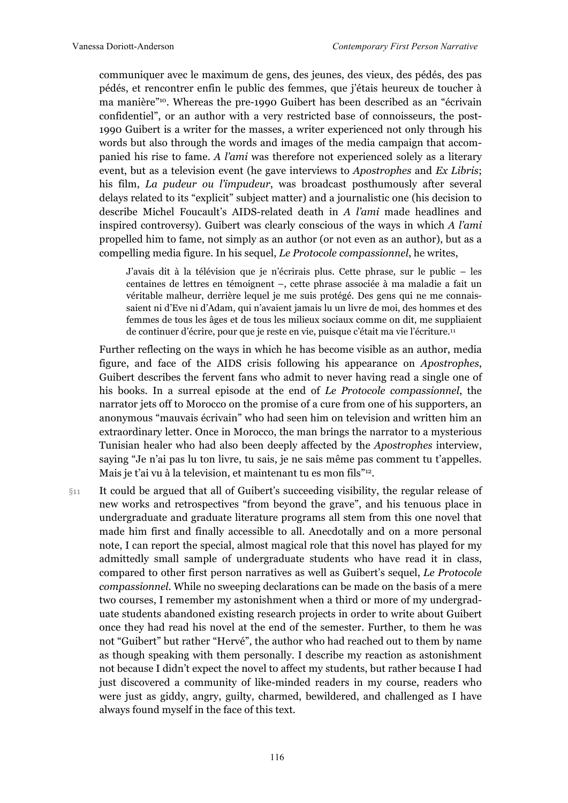communiquer avec le maximum de gens, des jeunes, des vieux, des pédés, des pas pédés, et rencontrer enfin le public des femmes, que j'étais heureux de toucher à ma manière"10. Whereas the pre-1990 Guibert has been described as an "écrivain confidentiel", or an author with a very restricted base of connoisseurs, the post-1990 Guibert is a writer for the masses, a writer experienced not only through his words but also through the words and images of the media campaign that accompanied his rise to fame. *A l'ami* was therefore not experienced solely as a literary event, but as a television event (he gave interviews to *Apostrophes* and *Ex Libris*; his film, *La pudeur ou l'impudeur*, was broadcast posthumously after several delays related to its "explicit" subject matter) and a journalistic one (his decision to describe Michel Foucault's AIDS-related death in *A l'ami* made headlines and inspired controversy). Guibert was clearly conscious of the ways in which *A l'ami* propelled him to fame, not simply as an author (or not even as an author), but as a compelling media figure. In his sequel, *Le Protocole compassionnel*, he writes,

J'avais dit à la télévision que je n'écrirais plus. Cette phrase, sur le public – les centaines de lettres en témoignent –, cette phrase associée à ma maladie a fait un véritable malheur, derrière lequel je me suis protégé. Des gens qui ne me connaissaient ni d'Eve ni d'Adam, qui n'avaient jamais lu un livre de moi, des hommes et des femmes de tous les âges et de tous les milieux sociaux comme on dit, me suppliaient de continuer d'écrire, pour que je reste en vie, puisque c'était ma vie l'écriture.11

Further reflecting on the ways in which he has become visible as an author, media figure, and face of the AIDS crisis following his appearance on *Apostrophes*, Guibert describes the fervent fans who admit to never having read a single one of his books. In a surreal episode at the end of *Le Protocole compassionnel*, the narrator jets off to Morocco on the promise of a cure from one of his supporters, an anonymous "mauvais écrivain" who had seen him on television and written him an extraordinary letter. Once in Morocco, the man brings the narrator to a mysterious Tunisian healer who had also been deeply affected by the *Apostrophes* interview, saying "Je n'ai pas lu ton livre, tu sais, je ne sais même pas comment tu t'appelles. Mais je t'ai vu à la television, et maintenant tu es mon fils"12.

§11 It could be argued that all of Guibert's succeeding visibility, the regular release of new works and retrospectives "from beyond the grave", and his tenuous place in undergraduate and graduate literature programs all stem from this one novel that made him first and finally accessible to all. Anecdotally and on a more personal note, I can report the special, almost magical role that this novel has played for my admittedly small sample of undergraduate students who have read it in class, compared to other first person narratives as well as Guibert's sequel, *Le Protocole compassionnel*. While no sweeping declarations can be made on the basis of a mere two courses, I remember my astonishment when a third or more of my undergraduate students abandoned existing research projects in order to write about Guibert once they had read his novel at the end of the semester. Further, to them he was not "Guibert" but rather "Hervé", the author who had reached out to them by name as though speaking with them personally. I describe my reaction as astonishment not because I didn't expect the novel to affect my students, but rather because I had just discovered a community of like-minded readers in my course, readers who were just as giddy, angry, guilty, charmed, bewildered, and challenged as I have always found myself in the face of this text.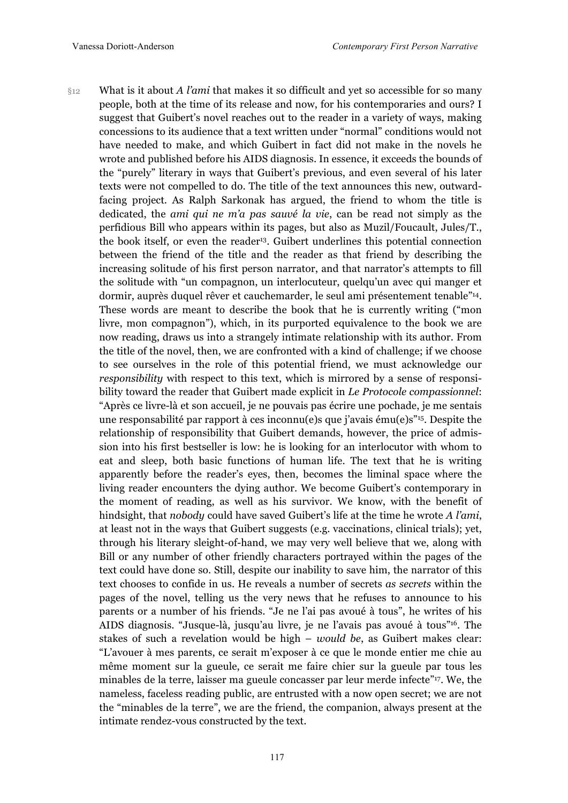§12 What is it about *A l'ami* that makes it so difficult and yet so accessible for so many people, both at the time of its release and now, for his contemporaries and ours? I suggest that Guibert's novel reaches out to the reader in a variety of ways, making concessions to its audience that a text written under "normal" conditions would not have needed to make, and which Guibert in fact did not make in the novels he wrote and published before his AIDS diagnosis. In essence, it exceeds the bounds of the "purely" literary in ways that Guibert's previous, and even several of his later texts were not compelled to do. The title of the text announces this new, outwardfacing project. As Ralph Sarkonak has argued, the friend to whom the title is dedicated, the *ami qui ne m'a pas sauvé la vie*, can be read not simply as the perfidious Bill who appears within its pages, but also as Muzil/Foucault, Jules/T., the book itself, or even the reader<sup>13</sup>. Guibert underlines this potential connection between the friend of the title and the reader as that friend by describing the increasing solitude of his first person narrator, and that narrator's attempts to fill the solitude with "un compagnon, un interlocuteur, quelqu'un avec qui manger et dormir, auprès duquel rêver et cauchemarder, le seul ami présentement tenable"14. These words are meant to describe the book that he is currently writing ("mon livre, mon compagnon"), which, in its purported equivalence to the book we are now reading, draws us into a strangely intimate relationship with its author. From the title of the novel, then, we are confronted with a kind of challenge; if we choose to see ourselves in the role of this potential friend, we must acknowledge our *responsibility* with respect to this text, which is mirrored by a sense of responsibility toward the reader that Guibert made explicit in *Le Protocole compassionnel*: "Après ce livre-là et son accueil, je ne pouvais pas écrire une pochade, je me sentais une responsabilité par rapport à ces inconnu(e)s que j'avais ému(e)s"15. Despite the relationship of responsibility that Guibert demands, however, the price of admission into his first bestseller is low: he is looking for an interlocutor with whom to eat and sleep, both basic functions of human life. The text that he is writing apparently before the reader's eyes, then, becomes the liminal space where the living reader encounters the dying author. We become Guibert's contemporary in the moment of reading, as well as his survivor. We know, with the benefit of hindsight, that *nobody* could have saved Guibert's life at the time he wrote *A l'ami*, at least not in the ways that Guibert suggests (e.g. vaccinations, clinical trials); yet, through his literary sleight-of-hand, we may very well believe that we, along with Bill or any number of other friendly characters portrayed within the pages of the text could have done so. Still, despite our inability to save him, the narrator of this text chooses to confide in us. He reveals a number of secrets *as secrets* within the pages of the novel, telling us the very news that he refuses to announce to his parents or a number of his friends. "Je ne l'ai pas avoué à tous", he writes of his AIDS diagnosis. "Jusque-là, jusqu'au livre, je ne l'avais pas avoué à tous"16. The stakes of such a revelation would be high – *would be*, as Guibert makes clear: "L'avouer à mes parents, ce serait m'exposer à ce que le monde entier me chie au même moment sur la gueule, ce serait me faire chier sur la gueule par tous les minables de la terre, laisser ma gueule concasser par leur merde infecte"17. We, the nameless, faceless reading public, are entrusted with a now open secret; we are not the "minables de la terre", we are the friend, the companion, always present at the intimate rendez-vous constructed by the text.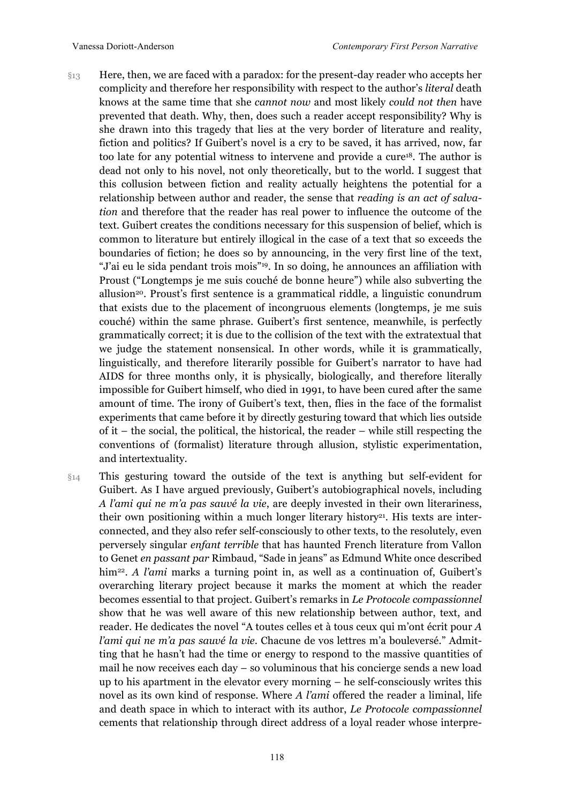- §13 Here, then, we are faced with a paradox: for the present-day reader who accepts her complicity and therefore her responsibility with respect to the author's *literal* death knows at the same time that she *cannot now* and most likely *could not then* have prevented that death. Why, then, does such a reader accept responsibility? Why is she drawn into this tragedy that lies at the very border of literature and reality, fiction and politics? If Guibert's novel is a cry to be saved, it has arrived, now, far too late for any potential witness to intervene and provide a cure<sup>18</sup>. The author is dead not only to his novel, not only theoretically, but to the world. I suggest that this collusion between fiction and reality actually heightens the potential for a relationship between author and reader, the sense that *reading is an act of salvation* and therefore that the reader has real power to influence the outcome of the text. Guibert creates the conditions necessary for this suspension of belief, which is common to literature but entirely illogical in the case of a text that so exceeds the boundaries of fiction; he does so by announcing, in the very first line of the text, "J'ai eu le sida pendant trois mois"19. In so doing, he announces an affiliation with Proust ("Longtemps je me suis couché de bonne heure") while also subverting the allusion20. Proust's first sentence is a grammatical riddle, a linguistic conundrum that exists due to the placement of incongruous elements (longtemps, je me suis couché) within the same phrase. Guibert's first sentence, meanwhile, is perfectly grammatically correct; it is due to the collision of the text with the extratextual that we judge the statement nonsensical. In other words, while it is grammatically, linguistically, and therefore literarily possible for Guibert's narrator to have had AIDS for three months only, it is physically, biologically, and therefore literally impossible for Guibert himself, who died in 1991, to have been cured after the same amount of time. The irony of Guibert's text, then, flies in the face of the formalist experiments that came before it by directly gesturing toward that which lies outside of it – the social, the political, the historical, the reader – while still respecting the conventions of (formalist) literature through allusion, stylistic experimentation, and intertextuality.
- §14 This gesturing toward the outside of the text is anything but self-evident for Guibert. As I have argued previously, Guibert's autobiographical novels, including *A l'ami qui ne m'a pas sauvé la vie*, are deeply invested in their own literariness, their own positioning within a much longer literary history<sup>21</sup>. His texts are interconnected, and they also refer self-consciously to other texts, to the resolutely, even perversely singular *enfant terrible* that has haunted French literature from Vallon to Genet *en passant par* Rimbaud, "Sade in jeans" as Edmund White once described him22. *A l'ami* marks a turning point in, as well as a continuation of, Guibert's overarching literary project because it marks the moment at which the reader becomes essential to that project. Guibert's remarks in *Le Protocole compassionnel* show that he was well aware of this new relationship between author, text, and reader. He dedicates the novel "A toutes celles et à tous ceux qui m'ont écrit pour *A l'ami qui ne m'a pas sauvé la vie*. Chacune de vos lettres m'a bouleversé." Admitting that he hasn't had the time or energy to respond to the massive quantities of mail he now receives each day – so voluminous that his concierge sends a new load up to his apartment in the elevator every morning – he self-consciously writes this novel as its own kind of response. Where *A l'ami* offered the reader a liminal, life and death space in which to interact with its author, *Le Protocole compassionnel* cements that relationship through direct address of a loyal reader whose interpre-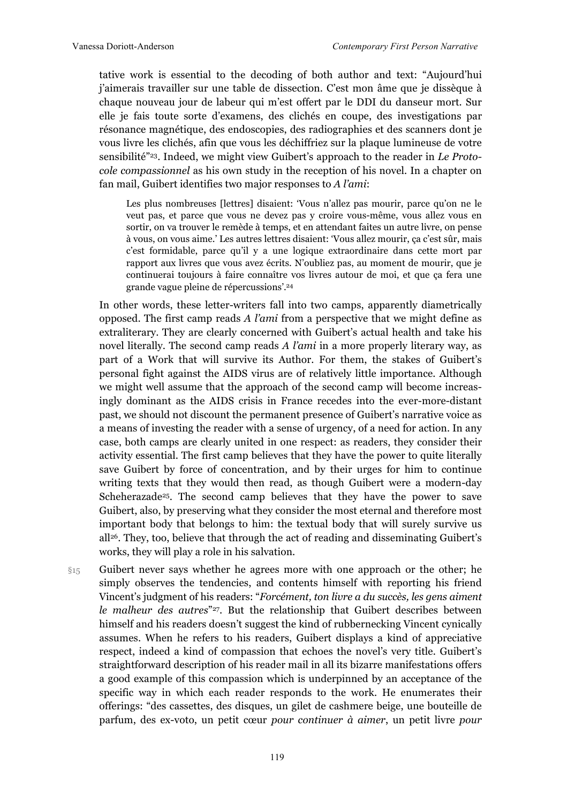tative work is essential to the decoding of both author and text: "Aujourd'hui j'aimerais travailler sur une table de dissection. C'est mon âme que je dissèque à chaque nouveau jour de labeur qui m'est offert par le DDI du danseur mort. Sur elle je fais toute sorte d'examens, des clichés en coupe, des investigations par résonance magnétique, des endoscopies, des radiographies et des scanners dont je vous livre les clichés, afin que vous les déchiffriez sur la plaque lumineuse de votre sensibilité"23. Indeed, we might view Guibert's approach to the reader in *Le Protocole compassionnel* as his own study in the reception of his novel. In a chapter on fan mail, Guibert identifies two major responses to *A l'ami*:

Les plus nombreuses [lettres] disaient: 'Vous n'allez pas mourir, parce qu'on ne le veut pas, et parce que vous ne devez pas y croire vous-même, vous allez vous en sortir, on va trouver le remède à temps, et en attendant faites un autre livre, on pense à vous, on vous aime.' Les autres lettres disaient: 'Vous allez mourir, ça c'est sûr, mais c'est formidable, parce qu'il y a une logique extraordinaire dans cette mort par rapport aux livres que vous avez écrits. N'oubliez pas, au moment de mourir, que je continuerai toujours à faire connaître vos livres autour de moi, et que ça fera une grande vague pleine de répercussions'.24

In other words, these letter-writers fall into two camps, apparently diametrically opposed. The first camp reads *A l'ami* from a perspective that we might define as extraliterary. They are clearly concerned with Guibert's actual health and take his novel literally. The second camp reads *A l'ami* in a more properly literary way, as part of a Work that will survive its Author. For them, the stakes of Guibert's personal fight against the AIDS virus are of relatively little importance. Although we might well assume that the approach of the second camp will become increasingly dominant as the AIDS crisis in France recedes into the ever-more-distant past, we should not discount the permanent presence of Guibert's narrative voice as a means of investing the reader with a sense of urgency, of a need for action. In any case, both camps are clearly united in one respect: as readers, they consider their activity essential. The first camp believes that they have the power to quite literally save Guibert by force of concentration, and by their urges for him to continue writing texts that they would then read, as though Guibert were a modern-day Scheherazade<sup>25</sup>. The second camp believes that they have the power to save Guibert, also, by preserving what they consider the most eternal and therefore most important body that belongs to him: the textual body that will surely survive us  $all<sup>26</sup>$ . They, too, believe that through the act of reading and disseminating Guibert's works, they will play a role in his salvation.

§15 Guibert never says whether he agrees more with one approach or the other; he simply observes the tendencies, and contents himself with reporting his friend Vincent's judgment of his readers: "*Forcément, ton livre a du succès, les gens aiment le malheur des autres*"27. But the relationship that Guibert describes between himself and his readers doesn't suggest the kind of rubbernecking Vincent cynically assumes. When he refers to his readers, Guibert displays a kind of appreciative respect, indeed a kind of compassion that echoes the novel's very title. Guibert's straightforward description of his reader mail in all its bizarre manifestations offers a good example of this compassion which is underpinned by an acceptance of the specific way in which each reader responds to the work. He enumerates their offerings: "des cassettes, des disques, un gilet de cashmere beige, une bouteille de parfum, des ex-voto, un petit cœur *pour continuer à aimer*, un petit livre *pour*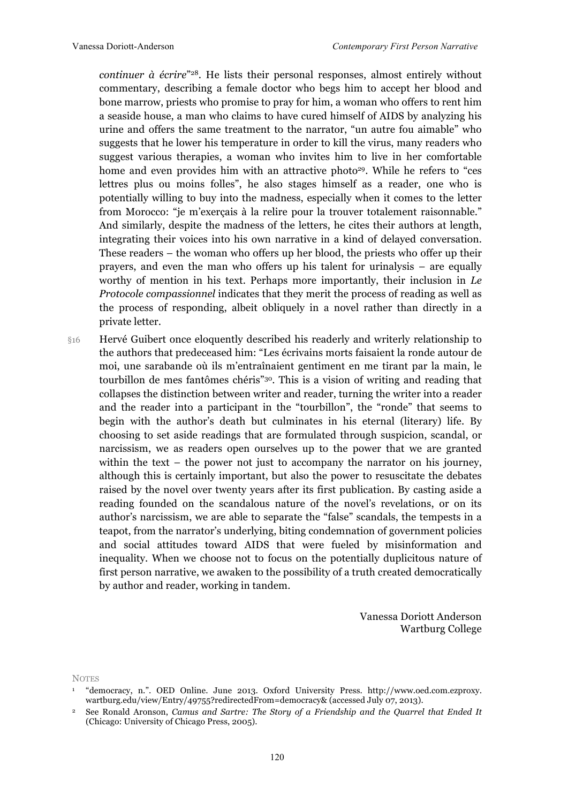*continuer à écrire*"28. He lists their personal responses, almost entirely without commentary, describing a female doctor who begs him to accept her blood and bone marrow, priests who promise to pray for him, a woman who offers to rent him a seaside house, a man who claims to have cured himself of AIDS by analyzing his urine and offers the same treatment to the narrator, "un autre fou aimable" who suggests that he lower his temperature in order to kill the virus, many readers who suggest various therapies, a woman who invites him to live in her comfortable home and even provides him with an attractive photo<sup>29</sup>. While he refers to "ces lettres plus ou moins folles", he also stages himself as a reader, one who is potentially willing to buy into the madness, especially when it comes to the letter from Morocco: "je m'exerçais à la relire pour la trouver totalement raisonnable." And similarly, despite the madness of the letters, he cites their authors at length, integrating their voices into his own narrative in a kind of delayed conversation. These readers – the woman who offers up her blood, the priests who offer up their prayers, and even the man who offers up his talent for urinalysis – are equally worthy of mention in his text. Perhaps more importantly, their inclusion in *Le Protocole compassionnel* indicates that they merit the process of reading as well as the process of responding, albeit obliquely in a novel rather than directly in a private letter.

§16 Hervé Guibert once eloquently described his readerly and writerly relationship to the authors that predeceased him: "Les écrivains morts faisaient la ronde autour de moi, une sarabande où ils m'entraînaient gentiment en me tirant par la main, le tourbillon de mes fantômes chéris"30. This is a vision of writing and reading that collapses the distinction between writer and reader, turning the writer into a reader and the reader into a participant in the "tourbillon", the "ronde" that seems to begin with the author's death but culminates in his eternal (literary) life. By choosing to set aside readings that are formulated through suspicion, scandal, or narcissism, we as readers open ourselves up to the power that we are granted within the text – the power not just to accompany the narrator on his journey, although this is certainly important, but also the power to resuscitate the debates raised by the novel over twenty years after its first publication. By casting aside a reading founded on the scandalous nature of the novel's revelations, or on its author's narcissism, we are able to separate the "false" scandals, the tempests in a teapot, from the narrator's underlying, biting condemnation of government policies and social attitudes toward AIDS that were fueled by misinformation and inequality. When we choose not to focus on the potentially duplicitous nature of first person narrative, we awaken to the possibility of a truth created democratically by author and reader, working in tandem.

> Vanessa Doriott Anderson Wartburg College

**NOTES** 

<sup>1</sup> "democracy, n.". OED Online. June 2013. Oxford University Press. http://www.oed.com.ezproxy. wartburg.edu/view/Entry/49755?redirectedFrom=democracy& (accessed July 07, 2013).

<sup>2</sup> See Ronald Aronson, *Camus and Sartre: The Story of a Friendship and the Quarrel that Ended It* (Chicago: University of Chicago Press, 2005).